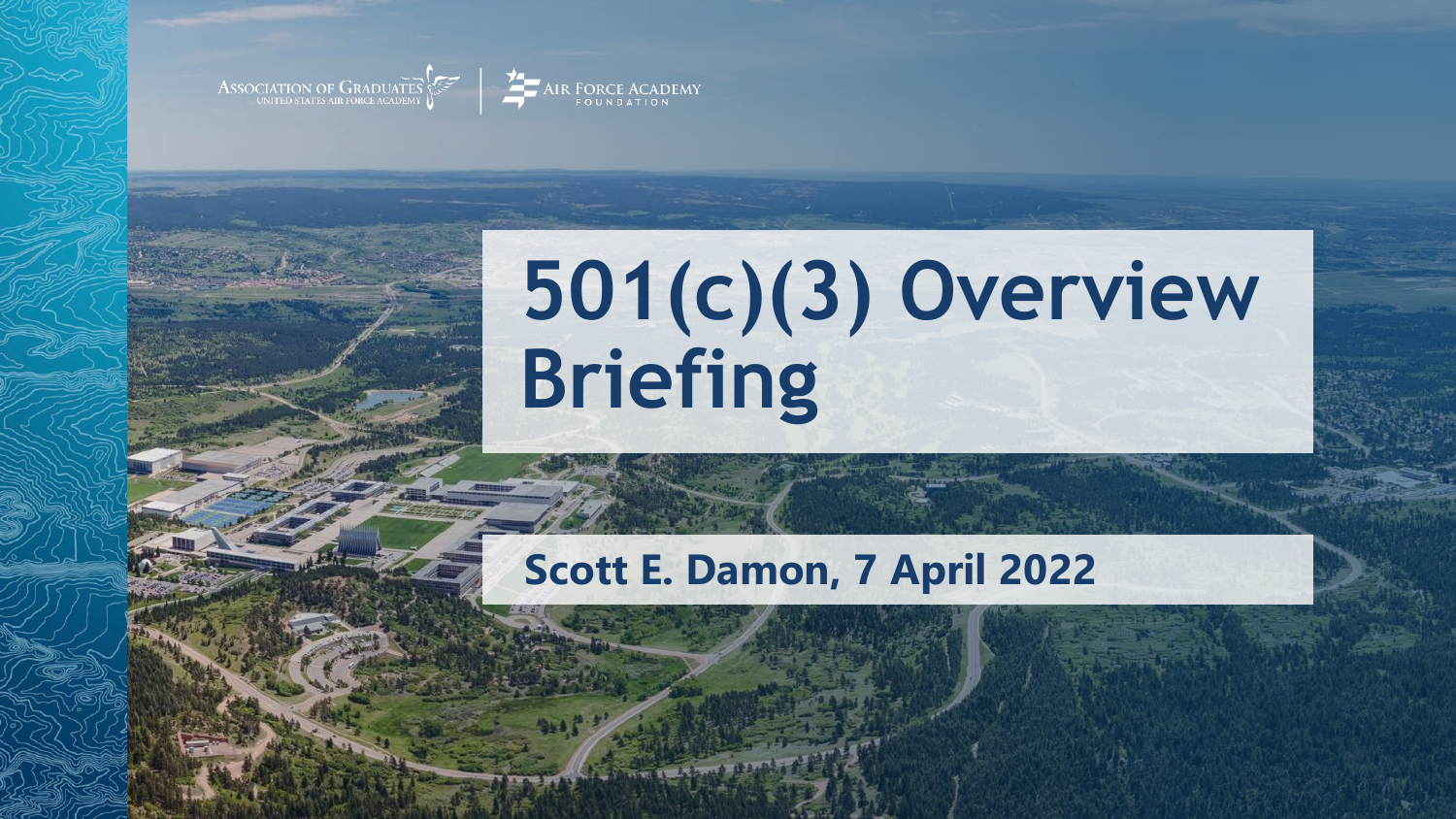



# **501(c)(3) Overview Briefing**

#### **Scott E. Damon, 7 April 2022**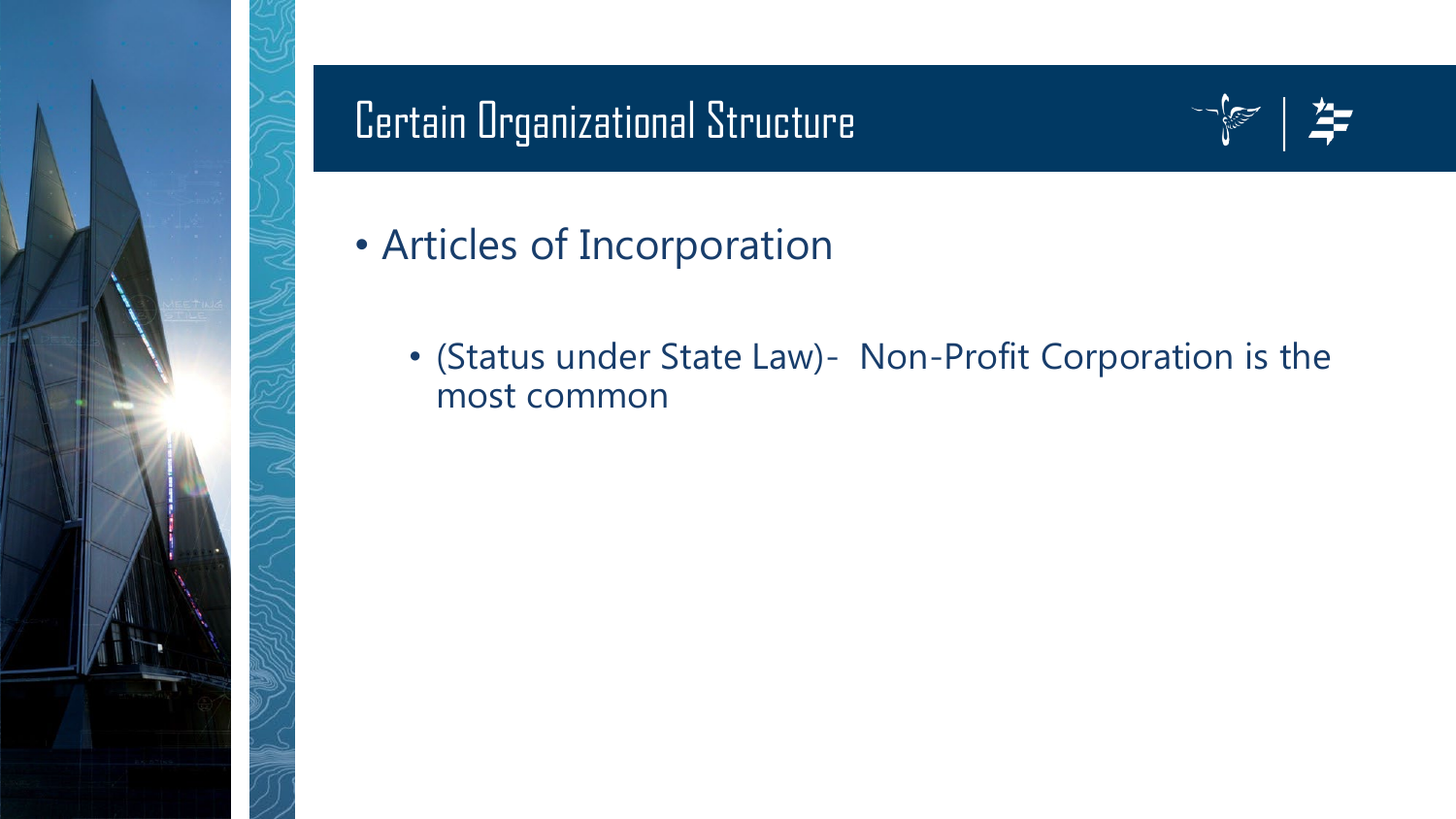

#### Certain Organizational Structure



- Articles of Incorporation
	- (Status under State Law)- Non-Profit Corporation is the most common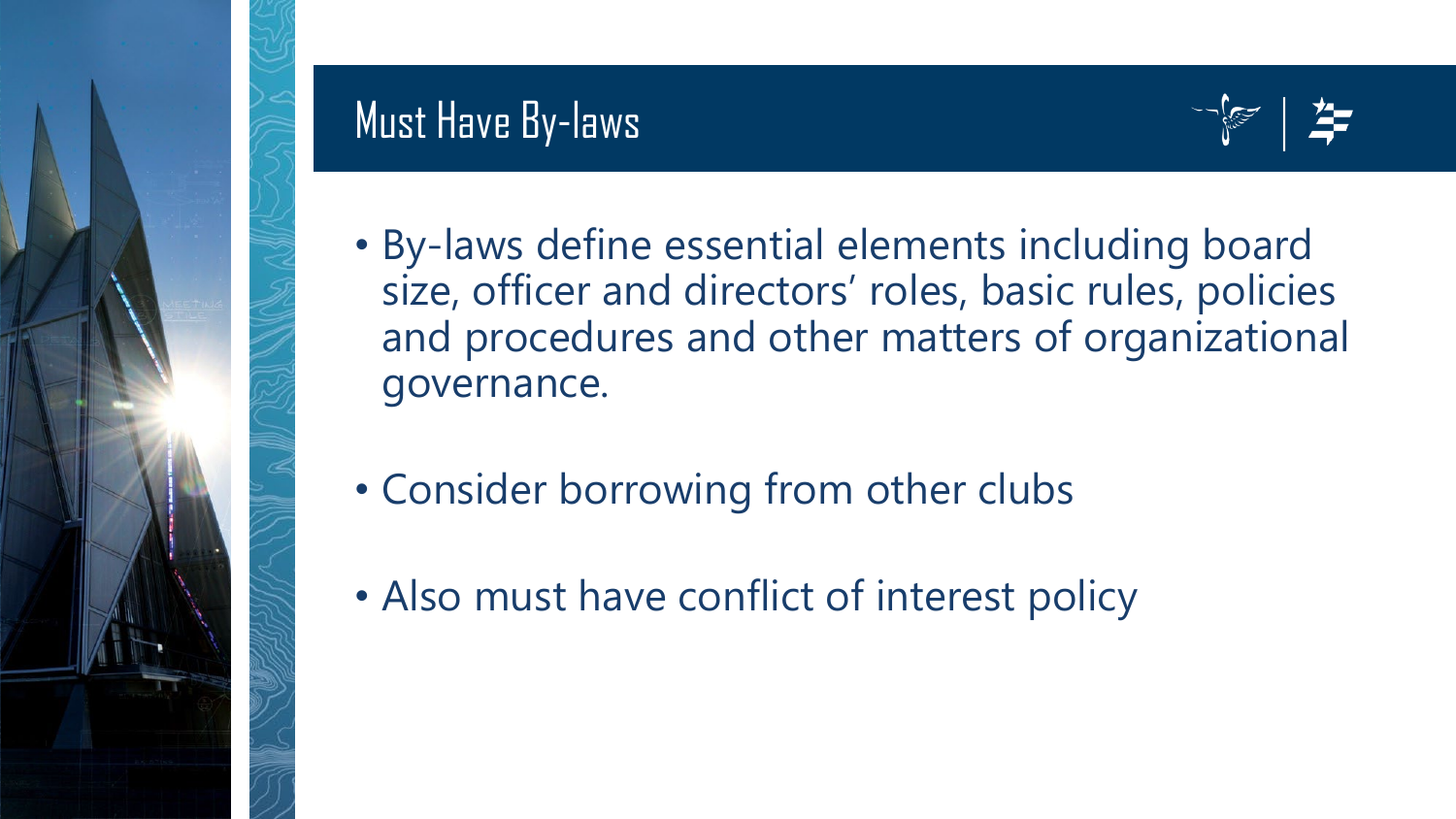

#### Must Have By-laws



- By-laws define essential elements including board size, officer and directors' roles, basic rules, policies and procedures and other matters of organizational governance.
- Consider borrowing from other clubs
- Also must have conflict of interest policy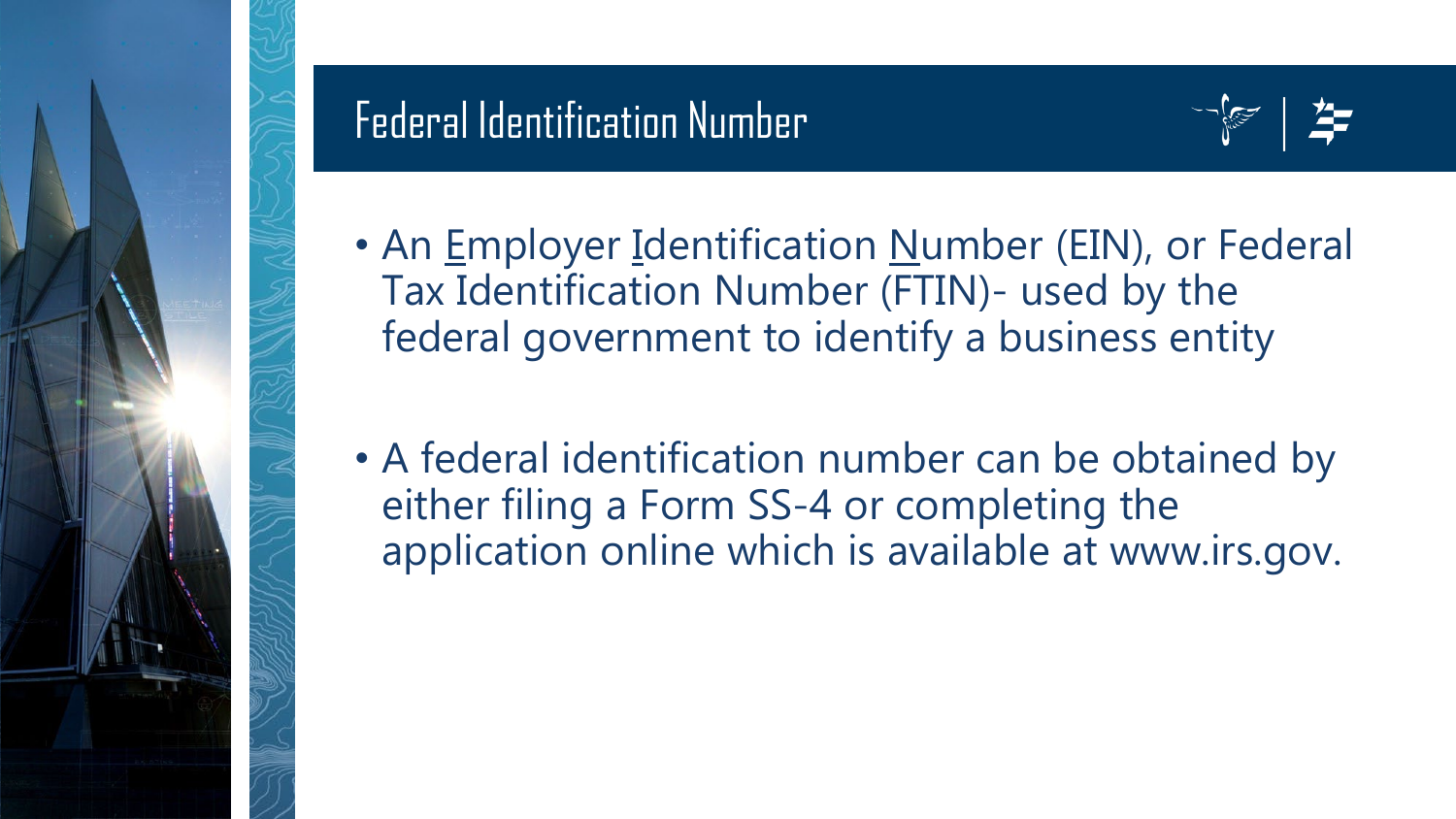#### Federal Identification Number



- An Employer Identification Number (EIN), or Federal Tax Identification Number (FTIN)- used by the federal government to identify a business entity
- A federal identification number can be obtained by either filing a Form SS-4 or completing the application online which is available at www.irs.gov.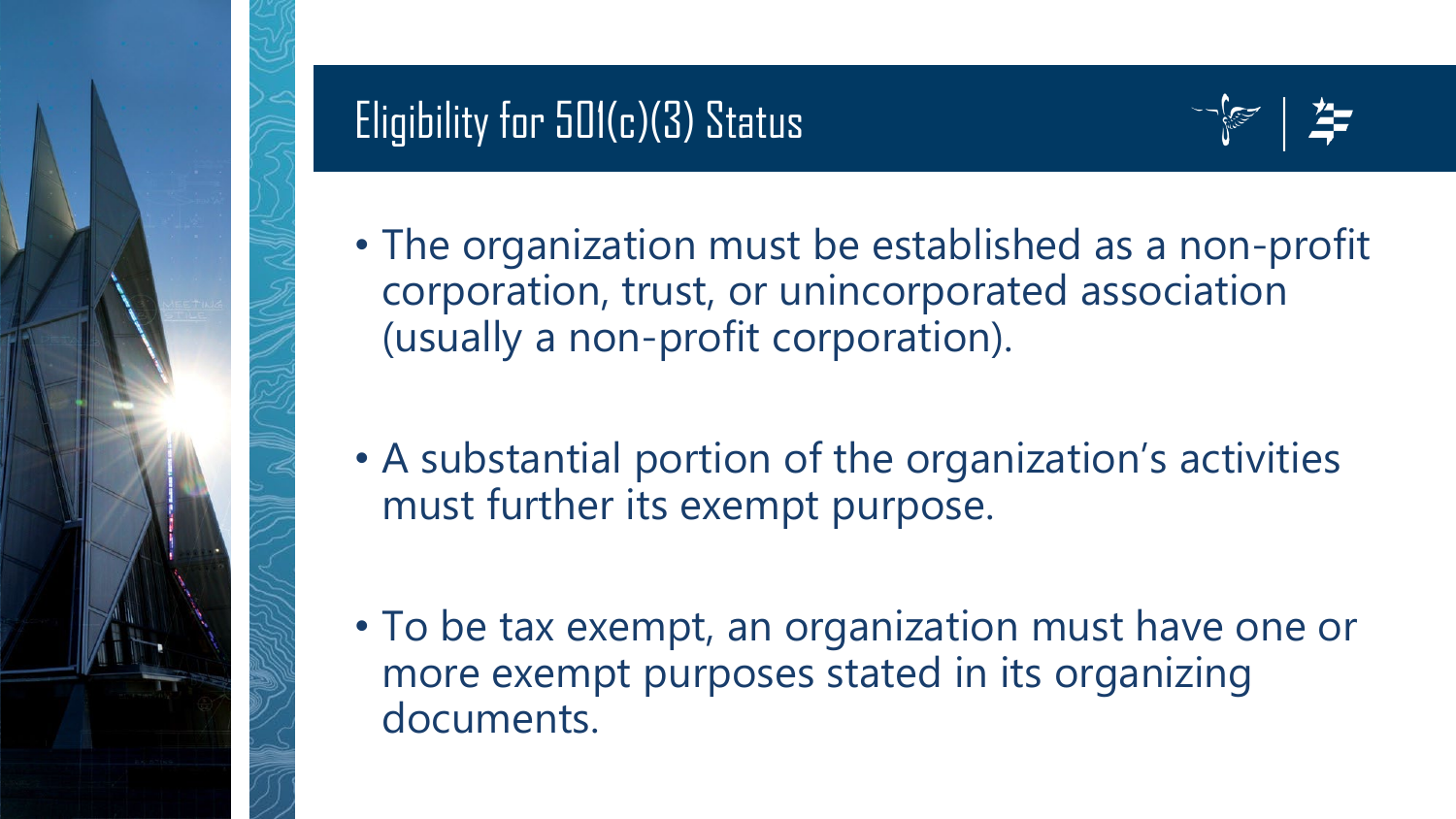

# Eligibility for 501(c)(3) Status



- The organization must be established as a non-profit corporation, trust, or unincorporated association (usually a non-profit corporation).
- A substantial portion of the organization's activities must further its exempt purpose.
- To be tax exempt, an organization must have one or more exempt purposes stated in its organizing documents.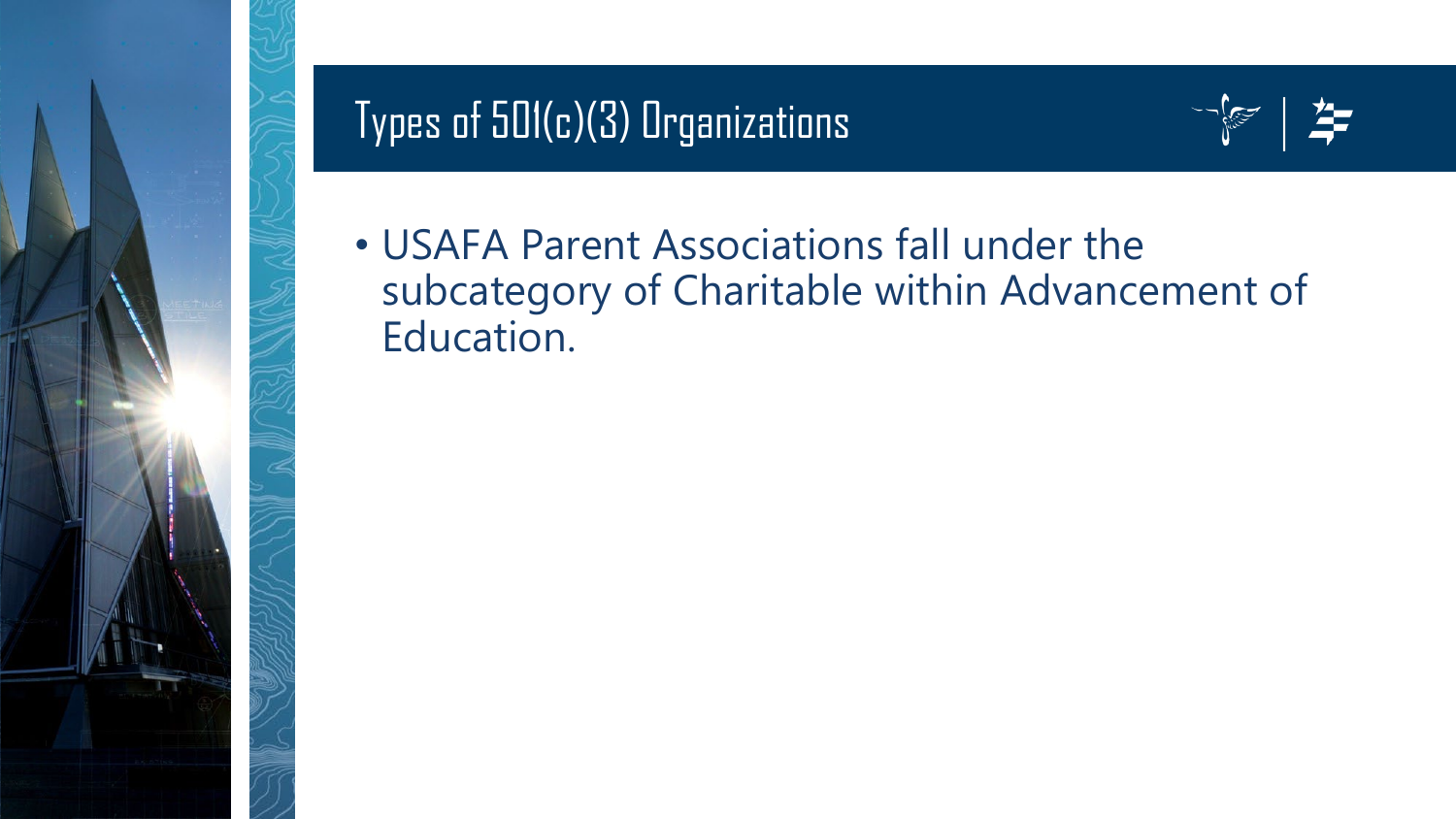

### Types of 501(c)(3) Organizations



• USAFA Parent Associations fall under the subcategory of Charitable within Advancement of Education.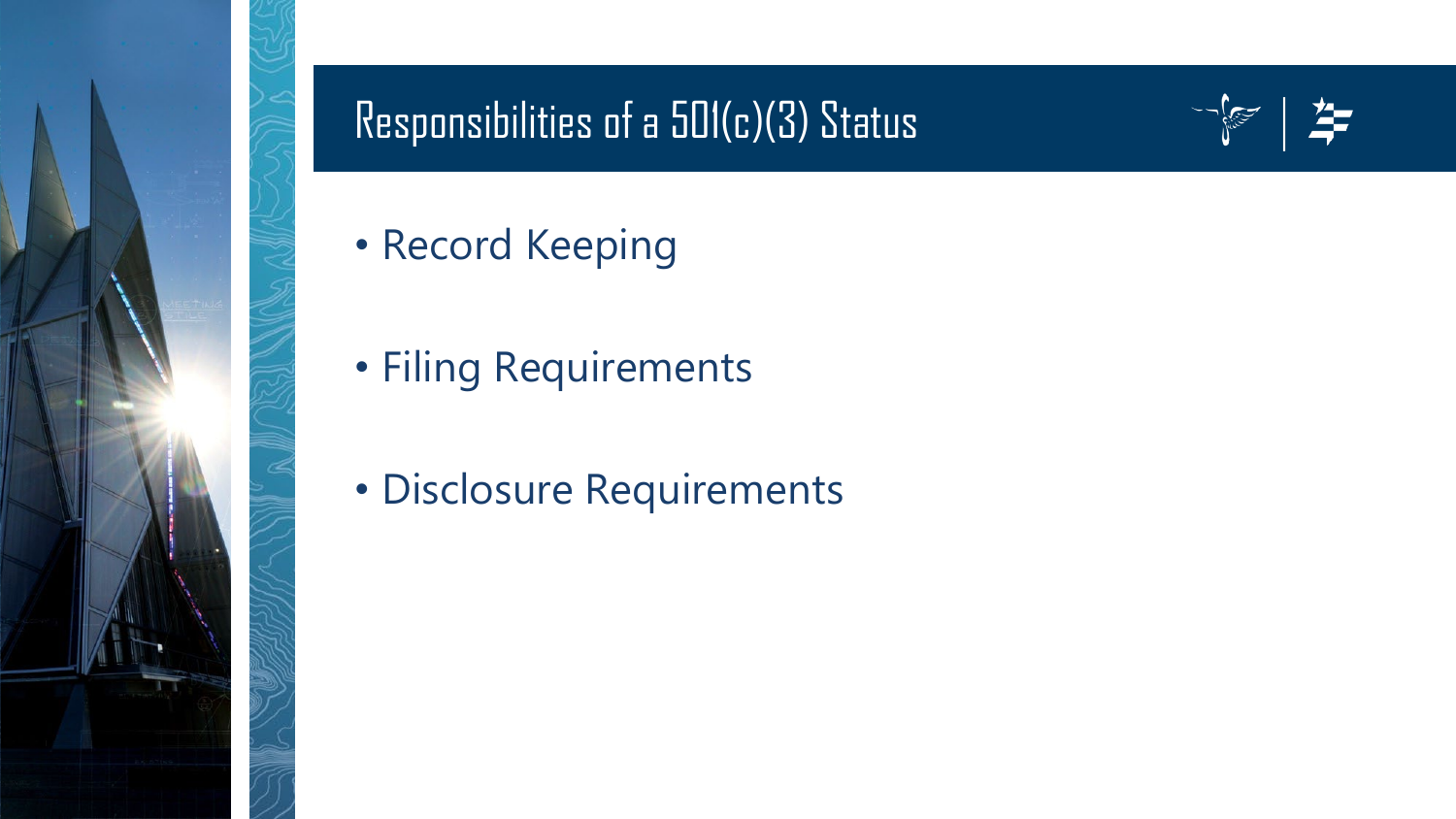

### Responsibilities of a 501(c)(3) Status



- Record Keeping
- Filing Requirements
- Disclosure Requirements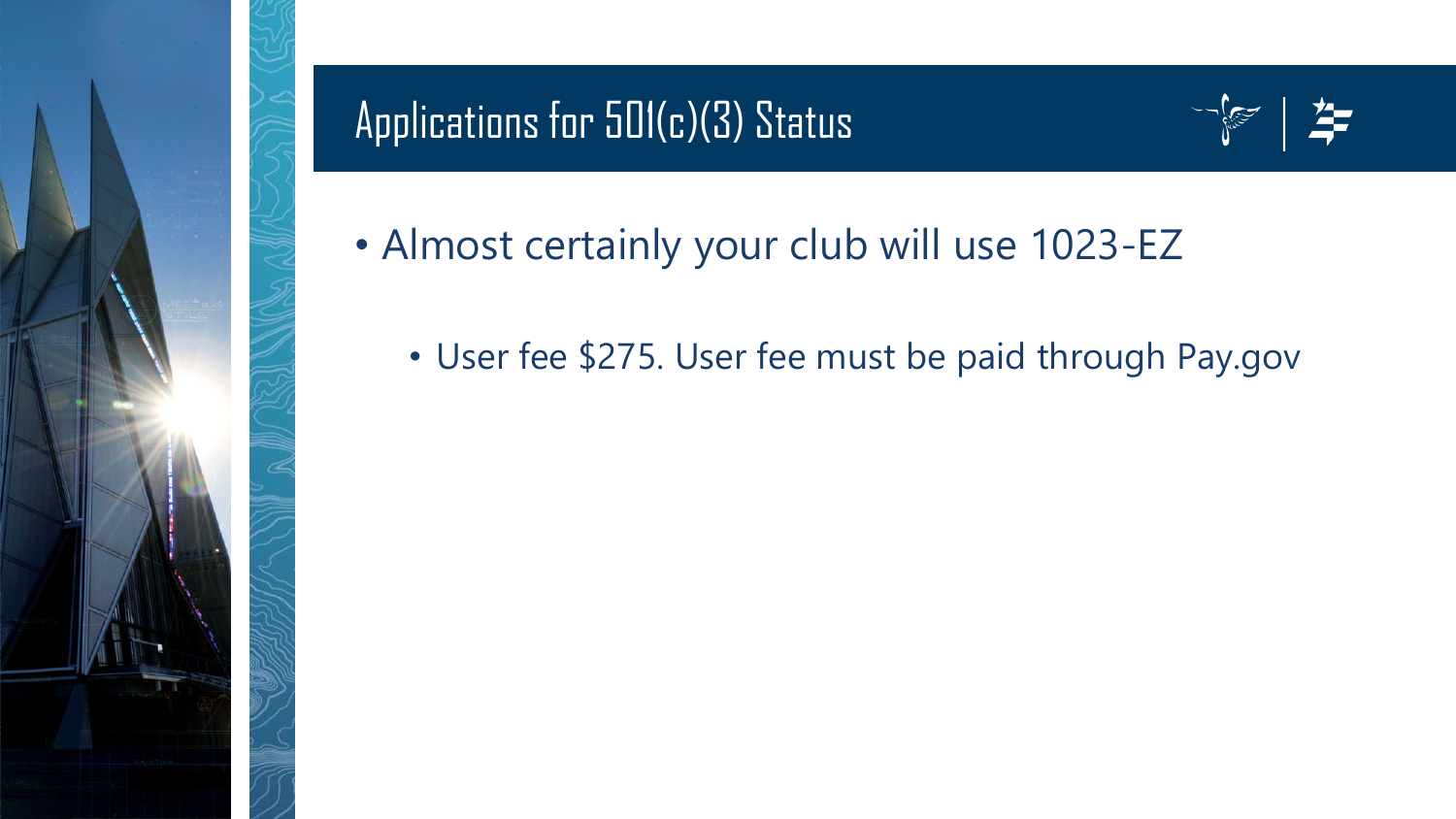

# Applications for 501(c)(3) Status



- Almost certainly your club will use 1023-EZ
	- User fee \$275. User fee must be paid through Pay.gov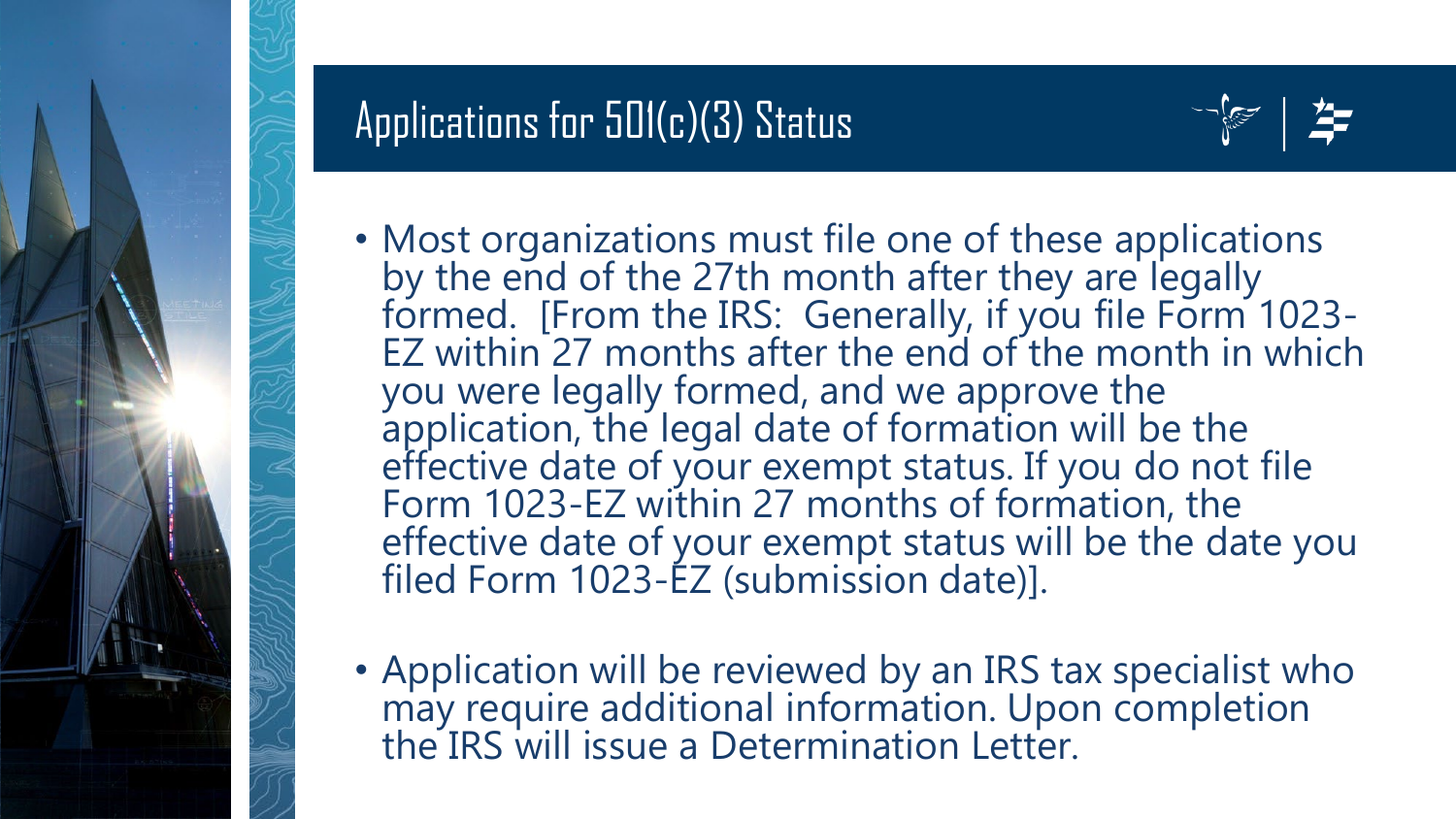

#### Applications for 501(c)(3) Status



- Most organizations must file one of these applications by the end of the 27th month after they are legally formed. [From the IRS: Generally, if you file Form 1023-<br>EZ within 27 months after the end of the month in which you were legally formed, and we approve the application, the legal date of formation will be the effective date of your exempt status. If you do not file Form 1023-EZ within 27 months of formation, the effective date of your exempt status will be the date you filed Form 1023-EZ (submission date)].
- Application will be reviewed by an IRS tax specialist who may require additional information. Upon completion the IRS will issue a Determination Letter.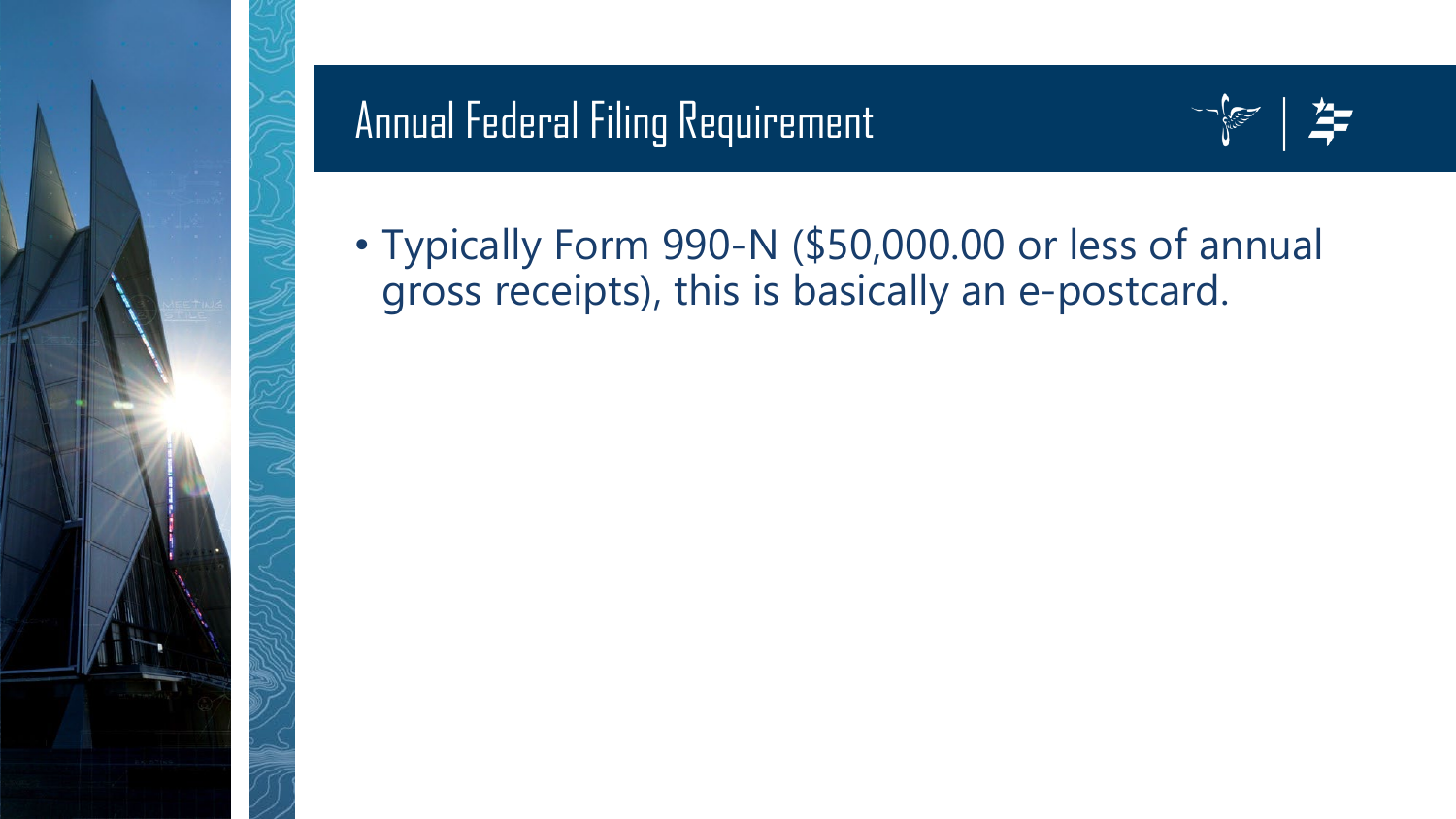### Annual Federal Filing Requirement



• Typically Form 990-N (\$50,000.00 or less of annual gross receipts), this is basically an e-postcard.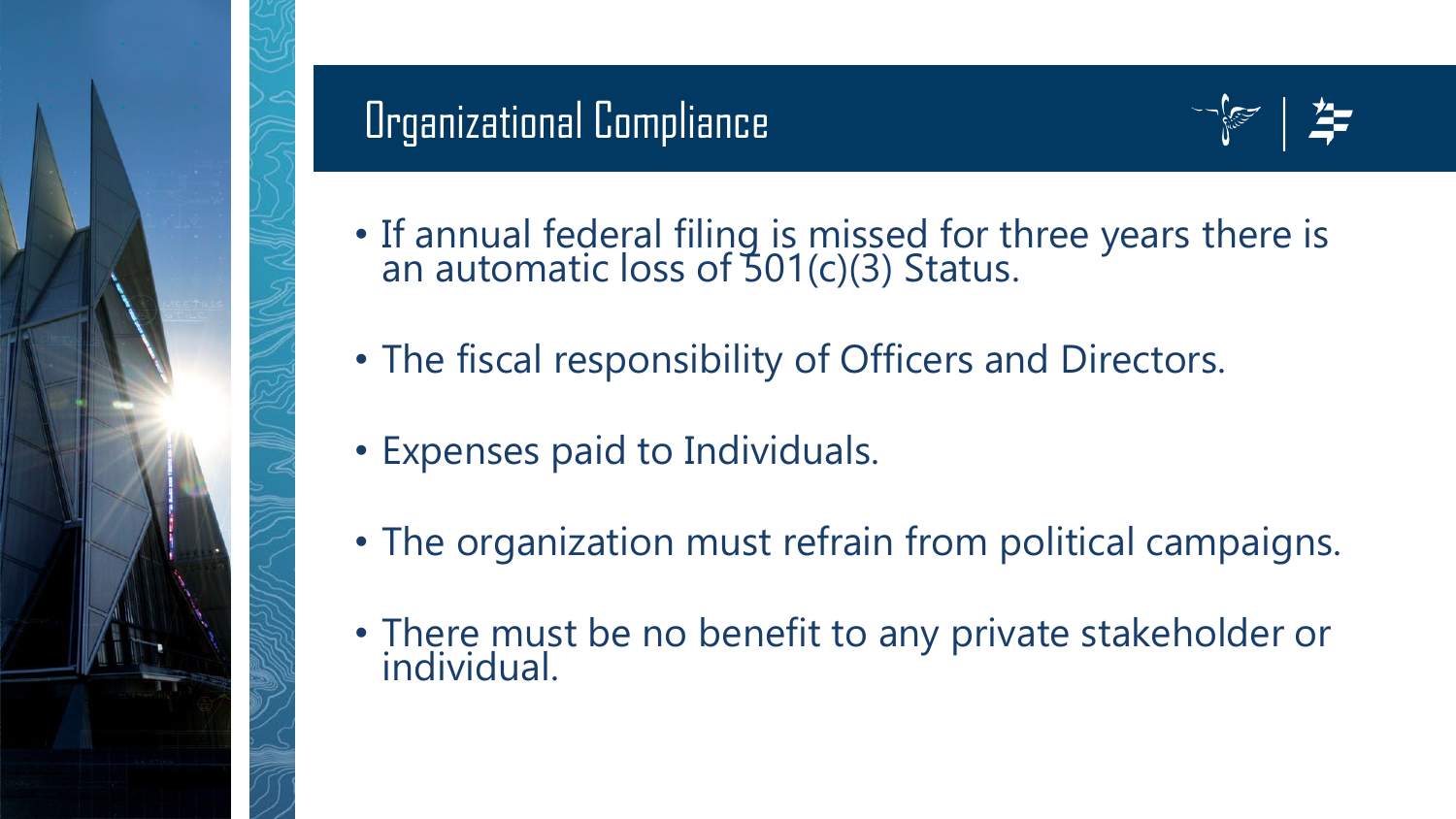### Organizational Compliance



- If annual federal filing is missed for three years there is an automatic loss of 501(c)(3) Status.
- The fiscal responsibility of Officers and Directors.
- Expenses paid to Individuals.
- The organization must refrain from political campaigns.
- There must be no benefit to any private stakeholder or individual.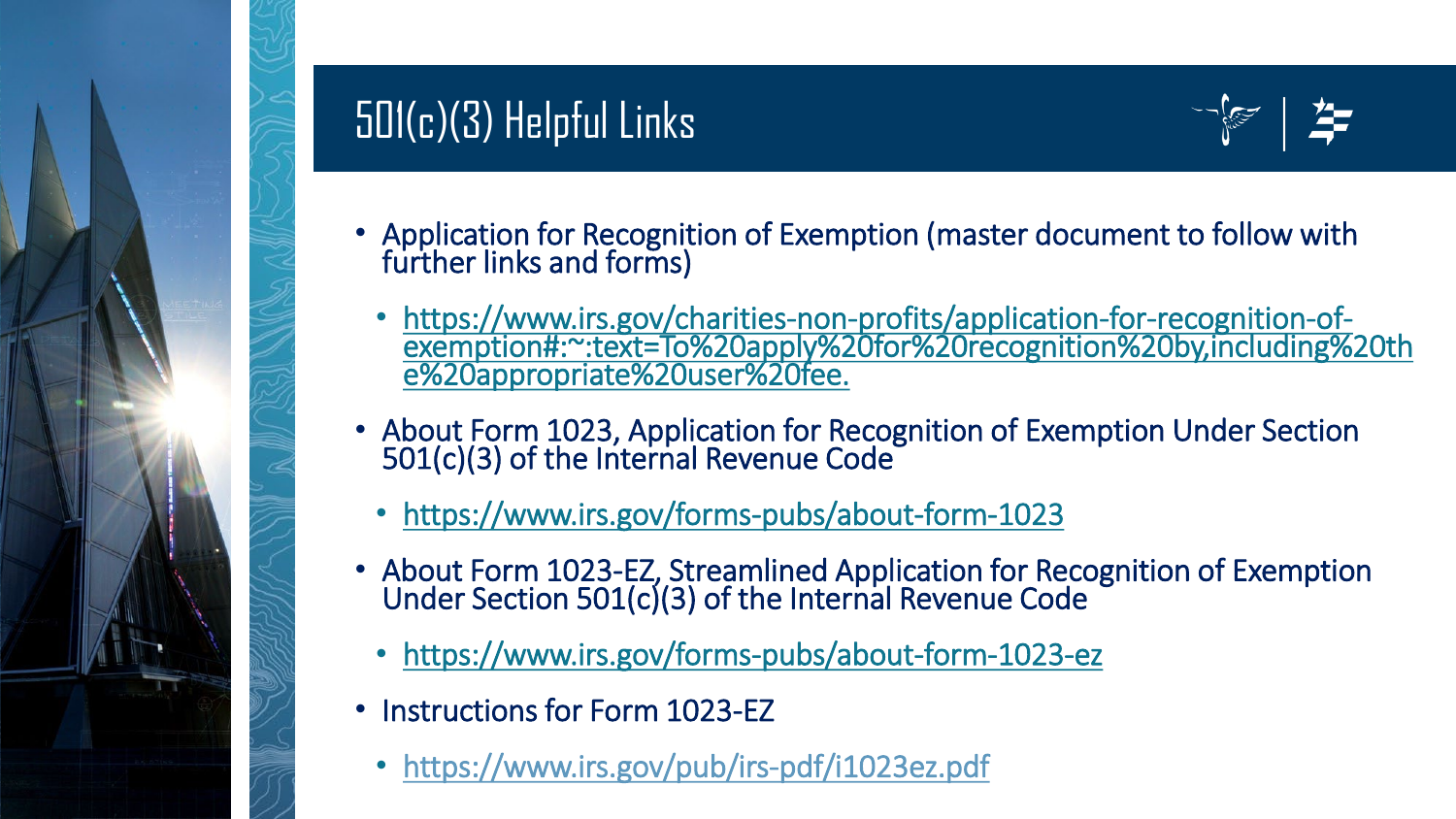

# 501(c)(3) Helpful Links



- Application for Recognition of Exemption (master document to follow with further links and forms)
- https://www.irs.gov/charities-non-profits/application-for-recognition-of-<br>exemption#:~:text=To%20apply%20for%20recognition%20by,including%20th e%20appropriate%20user%20fee.
- About Form 1023, Application for Recognition of Exemption Under Section 501(c)(3) of the Internal Revenue Code
	- https://www.irs.gov/forms-pubs/about-form-1023
- About Form 1023-EZ, Streamlined Application for Recognition of Exemption Under Section 501(c)(3) of the Internal Revenue Code
	- https://www.irs.gov/forms-pubs/about-form-1023-ez
- Instructions for Form 1023-EZ
	- <https://www.irs.gov/pub/irs-pdf/i1023ez.pdf>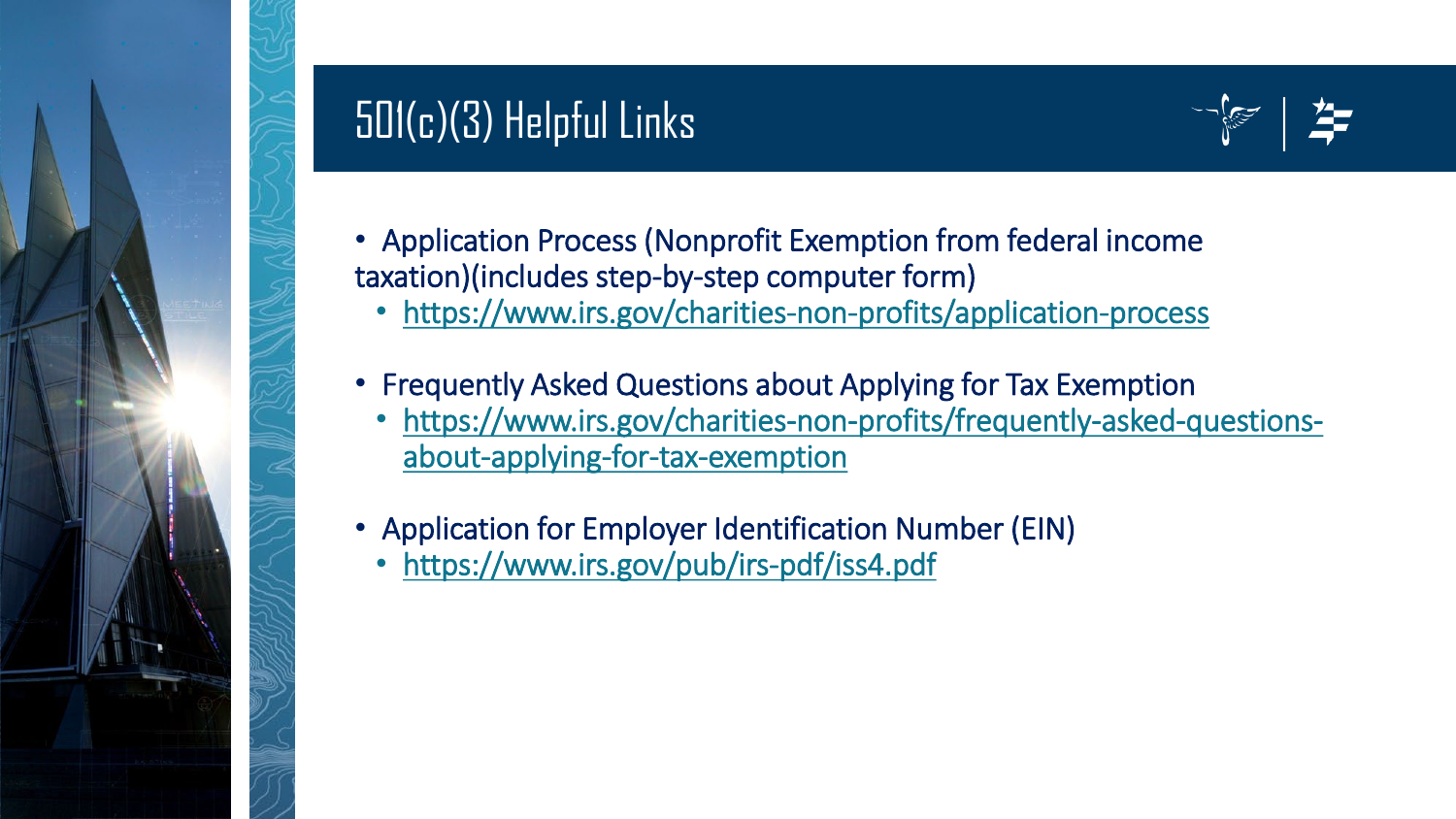

#### 501(c)(3) Helpful Links



- Application Process (Nonprofit Exemption from federal income taxation)(includes step-by-step computer form)
	- https://www.irs.gov/charities-non-profits/application-process
- Frequently Asked Questions about Applying for Tax Exemption
- https://www.irs.gov/charities-non-profits/frequently-asked-questionsabout-applying-for-tax-exemption
- Application for Employer Identification Number (EIN)
	- https://www.irs.gov/pub/irs-pdf/iss4.pdf